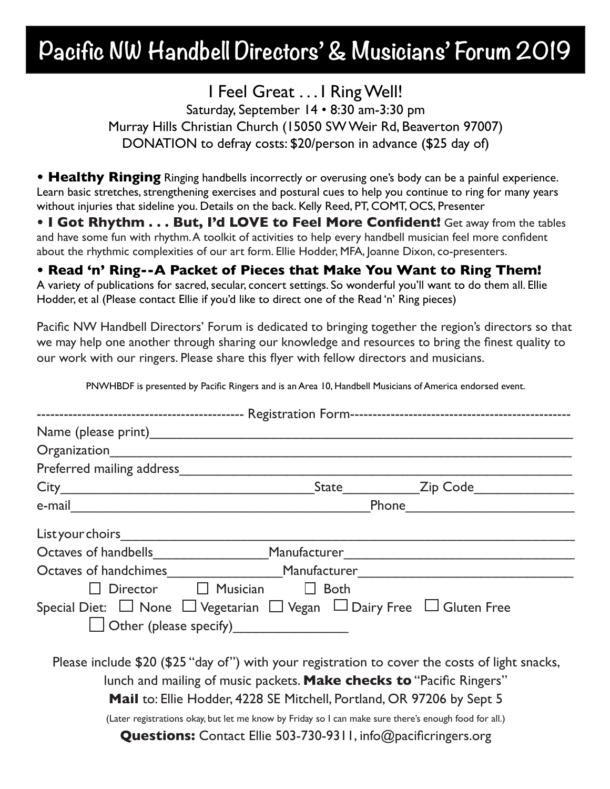## **Pacific NW Handbell Directors' & Musicians' Forum 2019**

I Feel Great . . . I Ring Well! Saturday, September 14 • 8:30 am-3:30 pm Murray Hills Christian Church (15050 SW Weir Rd, Beaverton 97007) DONATION to defray costs: \$20/person in advance (\$25 day of)

**• Healthy Ringing** Ringing handbells incorrectly or overusing one's body can be a painful experience. Learn basic stretches, strengthening exercises and postural cues to help you continue to ring for many years without injuries that sideline you. Details on the back. Kelly Reed, PT, COMT, OCS, Presenter

**• I Got Rhythm . . . But, I'd LOVE to Feel More Confident!** Get away from the tables and have some fun with rhythm. A toolkit of activities to help every handbell musician feel more confident about the rhythmic complexities of our art form. Ellie Hodder, MFA, Joanne Dixon, co-presenters.

#### **• Read 'n' Ring--A Packet of Pieces that Make You Want to Ring Them!**

A variety of publications for sacred, secular, concert settings. So wonderful you'll want to do them all. Ellie Hodder, et al (Please contact Ellie if you'd like to direct one of the Read 'n' Ring pieces)

Pacific NW Handbell Directors' Forum is dedicated to bringing together the region's directors so that we may help one another through sharing our knowledge and resources to bring the finest quality to our work with our ringers. Please share this flyer with fellow directors and musicians.

| Organization                                                                                                                                                           |        |                |
|------------------------------------------------------------------------------------------------------------------------------------------------------------------------|--------|----------------|
| Preferred mailing address <b>Exercises</b>                                                                                                                             |        |                |
|                                                                                                                                                                        |        | State Zip Code |
|                                                                                                                                                                        |        |                |
| List your choirs                                                                                                                                                       |        |                |
| Octaves of handbells Manufacturer                                                                                                                                      |        |                |
|                                                                                                                                                                        |        |                |
| $\Box$ Musician<br><b>Director</b>                                                                                                                                     | □ Both |                |
| Special Diet: $\Box$ None $\Box$ Vegetarian $\Box$ Vegan $\Box$ Dairy Free $\Box$ Gluten Free                                                                          |        |                |
| Other (please specify)                                                                                                                                                 |        |                |
| Please include \$20 (\$25 "day of") with your registration to cover the costs of light snacks,<br>lunch and mailing of music packets. Make checks to "Pacific Ringers" |        |                |
| Mail to: Ellie Hodder, 4228 SE Mitchell, Portland, OR 97206 by Sept 5                                                                                                  |        |                |
| (Later registrations okay, but let me know by Friday so I can make sure there's enough food for all.)                                                                  |        |                |
| <b>Questions:</b> Contact Ellie 503-730-9311, info@pacificringers.org                                                                                                  |        |                |

PNWHBDF is presented by Pacific Ringers and is an Area 10, Handbell Musicians of America endorsed event.